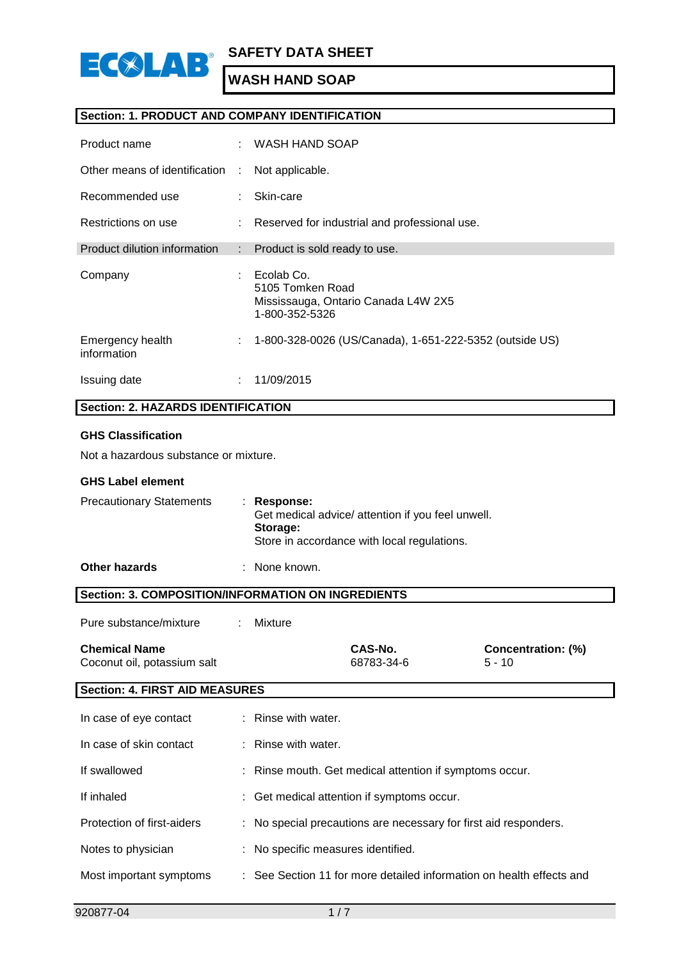

### **Section: 1. PRODUCT AND COMPANY IDENTIFICATION**

| Product name                    |    | WASH HAND SOAP                                                                          |
|---------------------------------|----|-----------------------------------------------------------------------------------------|
| Other means of identification   | ÷  | Not applicable.                                                                         |
| Recommended use                 |    | Skin-care                                                                               |
| Restrictions on use             | ÷  | Reserved for industrial and professional use.                                           |
| Product dilution information    | ÷  | Product is sold ready to use.                                                           |
| Company                         |    | Ecolab Co.<br>5105 Tomken Road<br>Mississauga, Ontario Canada L4W 2X5<br>1-800-352-5326 |
| Emergency health<br>information | ÷  | 1-800-328-0026 (US/Canada), 1-651-222-5352 (outside US)                                 |
| Issuing date                    | ٠. | 11/09/2015                                                                              |

### **Section: 2. HAZARDS IDENTIFICATION**

#### **GHS Classification**

Not a hazardous substance or mixture.

### **GHS Label element**

| <b>Precautionary Statements</b> | $:$ Response:<br>Get medical advice/ attention if you feel unwell.<br>Storage:<br>Store in accordance with local regulations. |
|---------------------------------|-------------------------------------------------------------------------------------------------------------------------------|
|                                 |                                                                                                                               |

### **Other hazards** : None known.

**Section: 3. COMPOSITION/INFORMATION ON INGREDIENTS** Pure substance/mixture : Mixture **Chemical Name CAS-No. Concentration: (%)** Coconut oil, potassium salt 68783-34-6 5 - 10 **Section: 4. FIRST AID MEASURES**

| In case of eye contact     | : Rinse with water.                                                  |
|----------------------------|----------------------------------------------------------------------|
| In case of skin contact    | $:$ Rinse with water.                                                |
| If swallowed               | : Rinse mouth. Get medical attention if symptoms occur.              |
| If inhaled                 | : Get medical attention if symptoms occur.                           |
| Protection of first-aiders | : No special precautions are necessary for first aid responders.     |
| Notes to physician         | : No specific measures identified.                                   |
| Most important symptoms    | : See Section 11 for more detailed information on health effects and |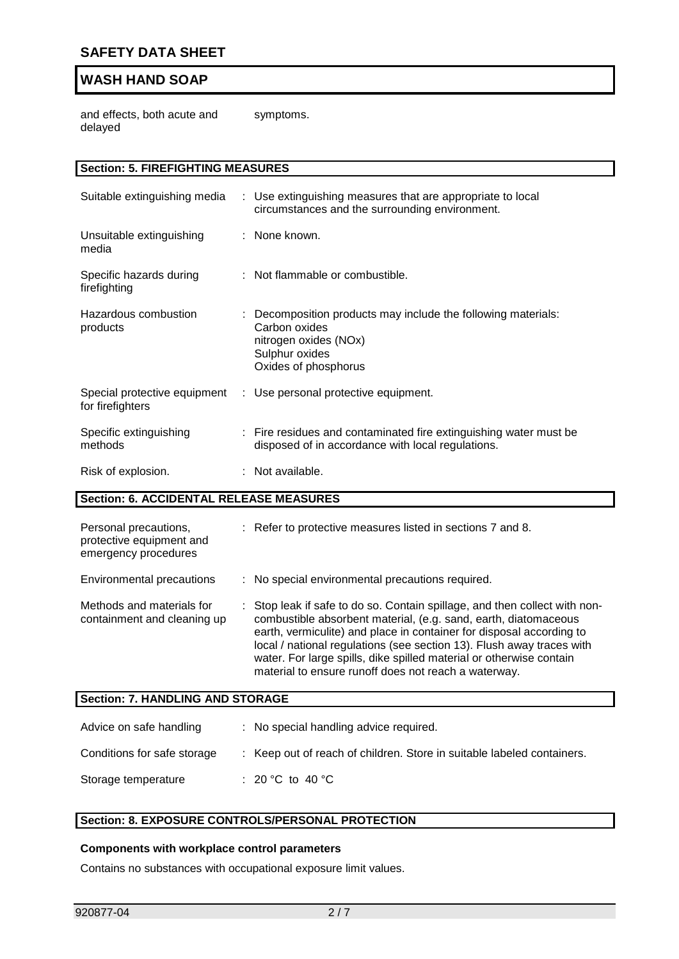and effects, both acute and delayed symptoms.

| <b>Section: 5. FIREFIGHTING MEASURES</b>                                  |  |                                                                                                                                                                                                                                                                                                                                                                                                                             |  |  |  |
|---------------------------------------------------------------------------|--|-----------------------------------------------------------------------------------------------------------------------------------------------------------------------------------------------------------------------------------------------------------------------------------------------------------------------------------------------------------------------------------------------------------------------------|--|--|--|
|                                                                           |  |                                                                                                                                                                                                                                                                                                                                                                                                                             |  |  |  |
| Suitable extinguishing media                                              |  | : Use extinguishing measures that are appropriate to local<br>circumstances and the surrounding environment.                                                                                                                                                                                                                                                                                                                |  |  |  |
| Unsuitable extinguishing<br>media                                         |  | : None known.                                                                                                                                                                                                                                                                                                                                                                                                               |  |  |  |
| Specific hazards during<br>firefighting                                   |  | : Not flammable or combustible.                                                                                                                                                                                                                                                                                                                                                                                             |  |  |  |
| Hazardous combustion<br>products                                          |  | Decomposition products may include the following materials:<br>Carbon oxides<br>nitrogen oxides (NOx)<br>Sulphur oxides<br>Oxides of phosphorus                                                                                                                                                                                                                                                                             |  |  |  |
| Special protective equipment<br>for firefighters                          |  | : Use personal protective equipment.                                                                                                                                                                                                                                                                                                                                                                                        |  |  |  |
| Specific extinguishing<br>methods                                         |  | : Fire residues and contaminated fire extinguishing water must be<br>disposed of in accordance with local regulations.                                                                                                                                                                                                                                                                                                      |  |  |  |
| Risk of explosion.                                                        |  | : Not available.                                                                                                                                                                                                                                                                                                                                                                                                            |  |  |  |
| <b>Section: 6. ACCIDENTAL RELEASE MEASURES</b>                            |  |                                                                                                                                                                                                                                                                                                                                                                                                                             |  |  |  |
| Personal precautions,<br>protective equipment and<br>emergency procedures |  | : Refer to protective measures listed in sections 7 and 8.                                                                                                                                                                                                                                                                                                                                                                  |  |  |  |
| Environmental precautions                                                 |  | : No special environmental precautions required.                                                                                                                                                                                                                                                                                                                                                                            |  |  |  |
| Methods and materials for<br>containment and cleaning up                  |  | Stop leak if safe to do so. Contain spillage, and then collect with non-<br>combustible absorbent material, (e.g. sand, earth, diatomaceous<br>earth, vermiculite) and place in container for disposal according to<br>local / national regulations (see section 13). Flush away traces with<br>water. For large spills, dike spilled material or otherwise contain<br>material to ensure runoff does not reach a waterway. |  |  |  |
| <b>Section: 7. HANDLING AND STORAGE</b>                                   |  |                                                                                                                                                                                                                                                                                                                                                                                                                             |  |  |  |
| Advice on safe handling                                                   |  | : No special handling advice required.                                                                                                                                                                                                                                                                                                                                                                                      |  |  |  |
| Conditions for safe storage                                               |  | : Keep out of reach of children. Store in suitable labeled containers.                                                                                                                                                                                                                                                                                                                                                      |  |  |  |
| Storage temperature                                                       |  | : 20 °C to 40 °C                                                                                                                                                                                                                                                                                                                                                                                                            |  |  |  |

# **Section: 8. EXPOSURE CONTROLS/PERSONAL PROTECTION**

### **Components with workplace control parameters**

Contains no substances with occupational exposure limit values.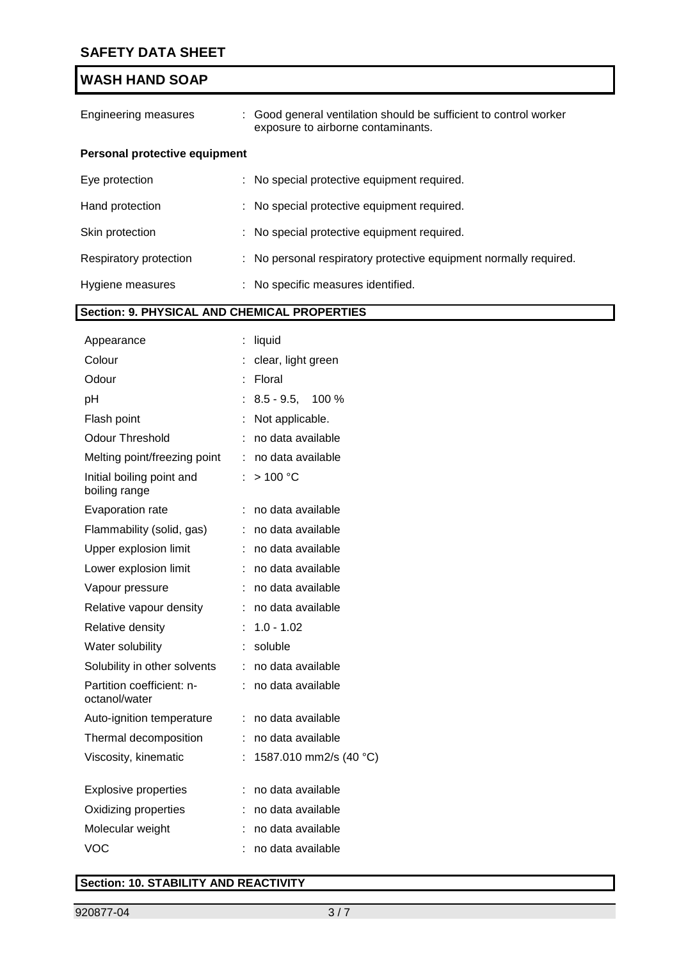| Engineering measures                 | : Good general ventilation should be sufficient to control worker<br>exposure to airborne contaminants. |  |
|--------------------------------------|---------------------------------------------------------------------------------------------------------|--|
| <b>Personal protective equipment</b> |                                                                                                         |  |
| Eye protection                       | : No special protective equipment required.                                                             |  |
| Hand protection                      | : No special protective equipment required.                                                             |  |
| Skin protection                      | : No special protective equipment required.                                                             |  |
| Respiratory protection               | : No personal respiratory protective equipment normally required.                                       |  |
| Hygiene measures                     | : No specific measures identified.                                                                      |  |

### **Section: 9. PHYSICAL AND CHEMICAL PROPERTIES**

| Appearance                                 |    | liquid                 |
|--------------------------------------------|----|------------------------|
| Colour                                     |    | clear, light green     |
| Odour                                      | t  | Floral                 |
| рH                                         |    | $8.5 - 9.5$ , 100 %    |
| Flash point                                |    | Not applicable.        |
| <b>Odour Threshold</b>                     | ÷  | no data available      |
| Melting point/freezing point               | ÷  | no data available      |
| Initial boiling point and<br>boiling range |    | >100 °C                |
| Evaporation rate                           |    | no data available      |
| Flammability (solid, gas)                  |    | no data available      |
| Upper explosion limit                      | ÷  | no data available      |
| Lower explosion limit                      |    | no data available      |
| Vapour pressure                            | ÷  | no data available      |
| Relative vapour density                    |    | no data available      |
| Relative density                           |    | $1.0 - 1.02$           |
| Water solubility                           |    | soluble                |
| Solubility in other solvents               | t. | no data available      |
| Partition coefficient: n-<br>octanol/water | ÷. | no data available      |
| Auto-ignition temperature                  | ÷  | no data available      |
| Thermal decomposition                      |    | no data available      |
| Viscosity, kinematic                       | ÷  | 1587.010 mm2/s (40 °C) |
| <b>Explosive properties</b>                |    | no data available      |
| Oxidizing properties                       |    | no data available      |
| Molecular weight                           |    | no data available      |
| <b>VOC</b>                                 |    | no data available      |

## **Section: 10. STABILITY AND REACTIVITY**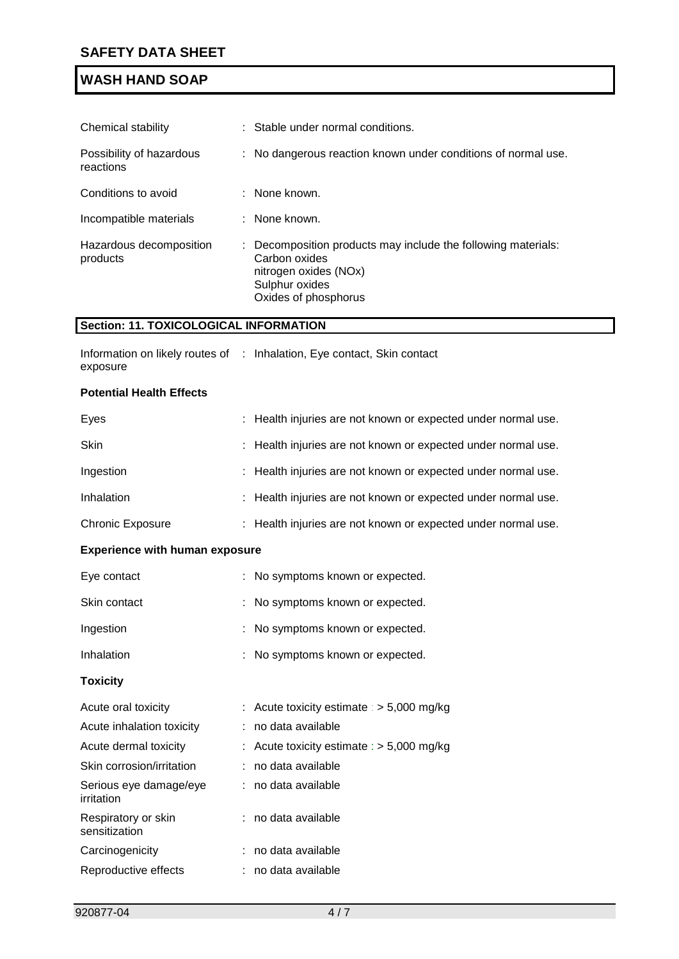| Chemical stability                    | : Stable under normal conditions.                                                                                                                 |  |  |
|---------------------------------------|---------------------------------------------------------------------------------------------------------------------------------------------------|--|--|
| Possibility of hazardous<br>reactions | : No dangerous reaction known under conditions of normal use.                                                                                     |  |  |
| Conditions to avoid                   | : None known.                                                                                                                                     |  |  |
| Incompatible materials                | : None known.                                                                                                                                     |  |  |
| Hazardous decomposition<br>products   | : Decomposition products may include the following materials:<br>Carbon oxides<br>nitrogen oxides (NOx)<br>Sulphur oxides<br>Oxides of phosphorus |  |  |

### **Section: 11. TOXICOLOGICAL INFORMATION**

Carcinogenicity : no data available Reproductive effects : no data available

|          | Information on likely routes of : Inhalation, Eye contact, Skin contact |
|----------|-------------------------------------------------------------------------|
| exposure |                                                                         |

#### **Potential Health Effects**

| Eyes                                  | Health injuries are not known or expected under normal use.   |
|---------------------------------------|---------------------------------------------------------------|
| <b>Skin</b>                           | Health injuries are not known or expected under normal use.   |
| Ingestion                             | Health injuries are not known or expected under normal use.   |
| Inhalation                            | Health injuries are not known or expected under normal use.   |
| <b>Chronic Exposure</b>               | : Health injuries are not known or expected under normal use. |
| <b>Experience with human exposure</b> |                                                               |
| Eye contact                           | : No symptoms known or expected.                              |
| Skin contact                          | : No symptoms known or expected.                              |
| Ingestion                             | : No symptoms known or expected.                              |
| Inhalation                            | : No symptoms known or expected.                              |
| <b>Toxicity</b>                       |                                                               |
| Acute oral toxicity                   | : Acute toxicity estimate : $> 5,000$ mg/kg                   |
| Acute inhalation toxicity             | no data available                                             |
| Acute dermal toxicity                 | Acute toxicity estimate : $> 5,000$ mg/kg                     |
| Skin corrosion/irritation             | no data available                                             |
| Serious eye damage/eye<br>irritation  | : no data available                                           |
| Respiratory or skin<br>sensitization  | no data available                                             |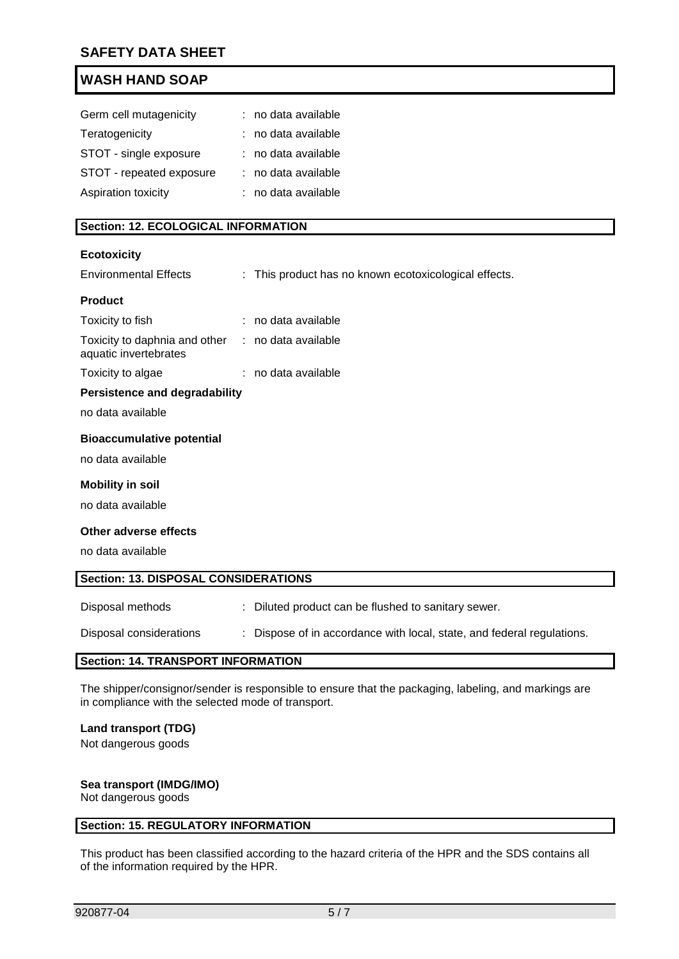| Germ cell mutagenicity   | : no data available |
|--------------------------|---------------------|
| Teratogenicity           | : no data available |
| STOT - single exposure   | : no data available |
| STOT - repeated exposure | : no data available |
| Aspiration toxicity      | : no data available |

### **Section: 12. ECOLOGICAL INFORMATION**

#### **Ecotoxicity**

| <b>Environmental Effects</b>                                               | : This product has no known ecotoxicological effects. |
|----------------------------------------------------------------------------|-------------------------------------------------------|
| <b>Product</b>                                                             |                                                       |
| Toxicity to fish                                                           | : no data available                                   |
| Toxicity to daphnia and other : no data available<br>aquatic invertebrates |                                                       |
| Toxicity to algae                                                          | : no data available                                   |
| <b>Persistence and degradability</b>                                       |                                                       |
| no data available                                                          |                                                       |
| <b>Bioaccumulative potential</b>                                           |                                                       |
| no data available                                                          |                                                       |
| <b>Mobility in soil</b>                                                    |                                                       |
| no data available                                                          |                                                       |
| Other adverse effects                                                      |                                                       |
| no data available                                                          |                                                       |
| <b>Section: 13. DISPOSAL CONSIDERATIONS</b>                                |                                                       |
| Disposal methods                                                           | : Diluted product can be flushed to sanitary sewer.   |

Disposal considerations : Dispose of in accordance with local, state, and federal regulations.

### **Section: 14. TRANSPORT INFORMATION**

The shipper/consignor/sender is responsible to ensure that the packaging, labeling, and markings are in compliance with the selected mode of transport.

#### **Land transport (TDG)**

Not dangerous goods

### **Sea transport (IMDG/IMO)**

Not dangerous goods

### **Section: 15. REGULATORY INFORMATION**

This product has been classified according to the hazard criteria of the HPR and the SDS contains all of the information required by the HPR.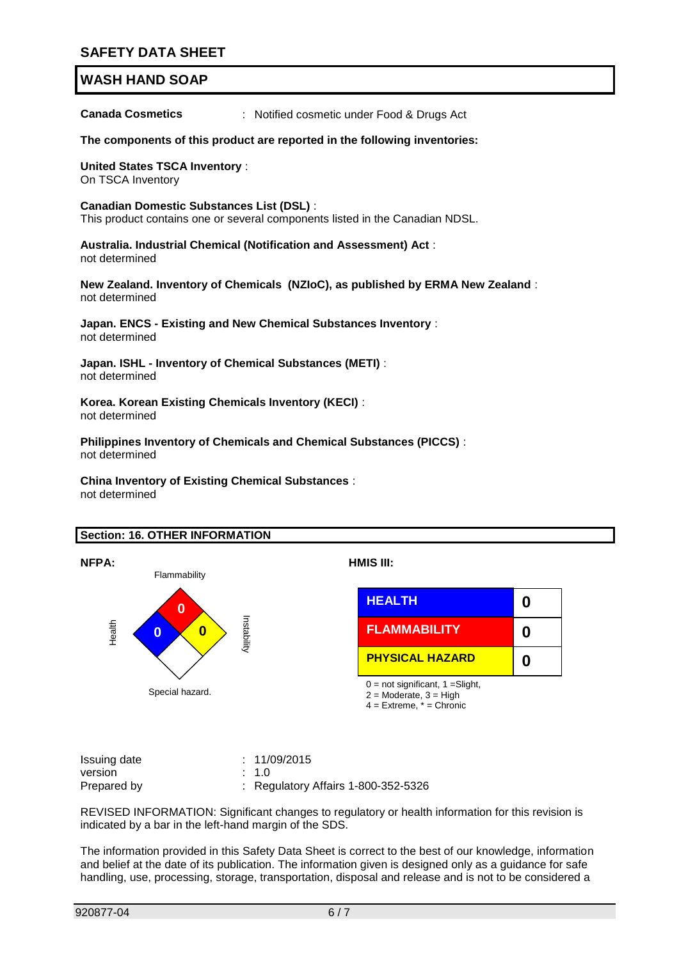**Canada Cosmetics** : Notified cosmetic under Food & Drugs Act

**The components of this product are reported in the following inventories:**

**United States TSCA Inventory** : On TSCA Inventory

**Canadian Domestic Substances List (DSL)** :

This product contains one or several components listed in the Canadian NDSL.

**Australia. Industrial Chemical (Notification and Assessment) Act** : not determined

**New Zealand. Inventory of Chemicals (NZIoC), as published by ERMA New Zealand** : not determined

**Japan. ENCS - Existing and New Chemical Substances Inventory** : not determined

**Japan. ISHL - Inventory of Chemical Substances (METI)** : not determined

**Korea. Korean Existing Chemicals Inventory (KECI)** : not determined

**Philippines Inventory of Chemicals and Chemical Substances (PICCS)** : not determined

**China Inventory of Existing Chemical Substances** : not determined

### **Section: 16. OTHER INFORMATION**





 $2 =$  Moderate,  $3 =$  High 4 = Extreme, \* = Chronic

Issuing date : 11/09/2015 version : 1.0 Prepared by : Regulatory Affairs 1-800-352-5326

REVISED INFORMATION: Significant changes to regulatory or health information for this revision is indicated by a bar in the left-hand margin of the SDS.

The information provided in this Safety Data Sheet is correct to the best of our knowledge, information and belief at the date of its publication. The information given is designed only as a guidance for safe handling, use, processing, storage, transportation, disposal and release and is not to be considered a